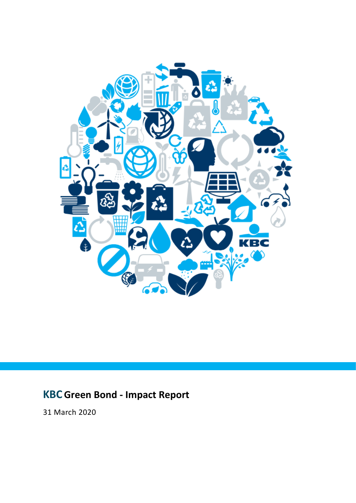

# **KBCGreen Bond - Impact Report**

31 March 2020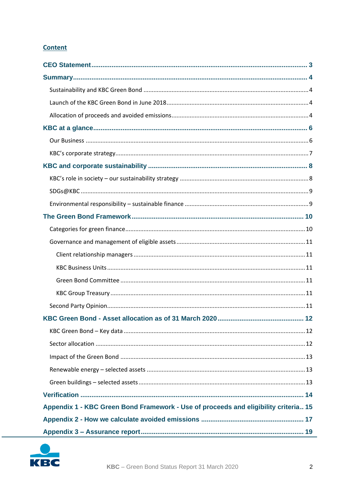## **Content**

| Appendix 1 - KBC Green Bond Framework - Use of proceeds and eligibility criteria 15 |
|-------------------------------------------------------------------------------------|
|                                                                                     |
|                                                                                     |

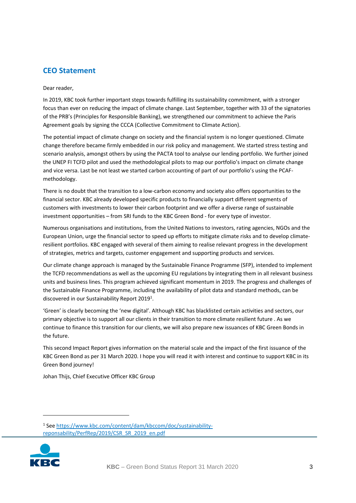## <span id="page-2-0"></span>**CEO Statement**

#### Dear reader,

In 2019, KBC took further important steps towards fulfilling its sustainability commitment, with a stronger focus than ever on reducing the impact of climate change. Last September, together with 33 of the signatories of the PRB's (Principles for Responsible Banking), we strengthened our commitment to achieve the Paris Agreement goals by signing the CCCA (Collective Commitment to Climate Action).

The potential impact of climate change on society and the financial system is no longer questioned. Climate change therefore became firmly embedded in our risk policy and management. We started stress testing and scenario analysis, amongst others by using the PACTA tool to analyse our lending portfolio. We further joined the UNEP FI TCFD pilot and used the methodological pilots to map our portfolio's impact on climate change and vice versa. Last be not least we started carbon accounting of part of our portfolio's using the PCAFmethodology.

There is no doubt that the transition to a low-carbon economy and society also offers opportunities to the financial sector. KBC already developed specific products to financially support different segments of customers with investments to lower their carbon footprint and we offer a diverse range of sustainable investment opportunities – from SRI funds to the KBC Green Bond - for every type of investor.

Numerous organisations and institutions, from the United Nations to investors, rating agencies, NGOs and the European Union, urge the financial sector to speed up efforts to mitigate climate risks and to develop climateresilient portfolios. KBC engaged with several of them aiming to realise relevant progress in the development of strategies, metrics and targets, customer engagement and supporting products and services.

Our climate change approach is managed by the Sustainable Finance Programme (SFP), intended to implement the TCFD recommendations as well as the upcoming EU regulations by integrating them in all relevant business units and business lines. This program achieved significant momentum in 2019. The progress and challenges of the Sustainable Finance Programme, including the availability of pilot data and standard methods, can be discovered in our Sustainability Report 2019<sup>1</sup>.

'Green' is clearly becoming the 'new digital'. Although KBC has blacklisted certain activities and sectors, our primary objective is to support all our clients in their transition to more climate resilient future . As we continue to finance this transition for our clients, we will also prepare new issuances of KBC Green Bonds in the future.

This second Impact Report gives information on the material scale and the impact of the first issuance of the KBC Green Bond as per 31 March 2020. I hope you will read it with interest and continue to support KBC in its Green Bond journey!

Johan Thijs, Chief Executive Officer KBC Group

<sup>1</sup> Se[e https://www.kbc.com/content/dam/kbccom/doc/sustainability](https://www.kbc.com/content/dam/kbccom/doc/sustainability-reponsability/PerfRep/2019/CSR_SR_2019_en.pdf)[reponsability/PerfRep/2019/CSR\\_SR\\_2019\\_en.pdf](https://www.kbc.com/content/dam/kbccom/doc/sustainability-reponsability/PerfRep/2019/CSR_SR_2019_en.pdf)

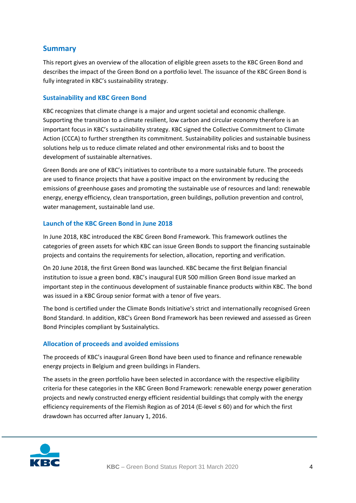## <span id="page-3-0"></span>**Summary**

This report gives an overview of the allocation of eligible green assets to the KBC Green Bond and describes the impact of the Green Bond on a portfolio level. The issuance of the KBC Green Bond is fully integrated in KBC's sustainability strategy.

## <span id="page-3-1"></span>**Sustainability and KBC Green Bond**

KBC recognizes that climate change is a major and urgent societal and economic challenge. Supporting the transition to a climate resilient, low carbon and circular economy therefore is an important focus in KBC's sustainability strategy. KBC signed the Collective Commitment to Climate Action (CCCA) to further strengthen its commitment. Sustainability policies and sustainable business solutions help us to reduce climate related and other environmental risks and to boost the development of sustainable alternatives.

Green Bonds are one of KBC's initiatives to contribute to a more sustainable future. The proceeds are used to finance projects that have a positive impact on the environment by reducing the emissions of greenhouse gases and promoting the sustainable use of resources and land: renewable energy, energy efficiency, clean transportation, green buildings, pollution prevention and control, water management, sustainable land use.

## <span id="page-3-2"></span>**Launch of the KBC Green Bond in June 2018**

In June 2018, KBC introduced the KBC Green Bond Framework. This framework outlines the categories of green assets for which KBC can issue Green Bonds to support the financing sustainable projects and contains the requirements for selection, allocation, reporting and verification.

On 20 June 2018, the first Green Bond was launched. KBC became the first Belgian financial institution to issue a green bond. KBC's inaugural EUR 500 million Green Bond issue marked an important step in the continuous development of sustainable finance products within KBC. The bond was issued in a KBC Group senior format with a tenor of five years.

The bond is certified under the Climate Bonds Initiative's strict and internationally recognised Green Bond Standard. In addition, KBC's Green Bond Framework has been reviewed and assessed as Green Bond Principles compliant by Sustainalytics.

## <span id="page-3-3"></span>**Allocation of proceeds and avoided emissions**

The proceeds of KBC's inaugural Green Bond have been used to finance and refinance renewable energy projects in Belgium and green buildings in Flanders.

The assets in the green portfolio have been selected in accordance with the respective eligibility criteria for these categories in the KBC Green Bond Framework: renewable energy power generation projects and newly constructed energy efficient residential buildings that comply with the energy efficiency requirements of the Flemish Region as of 2014 (E-level  $\leq 60$ ) and for which the first drawdown has occurred after January 1, 2016.

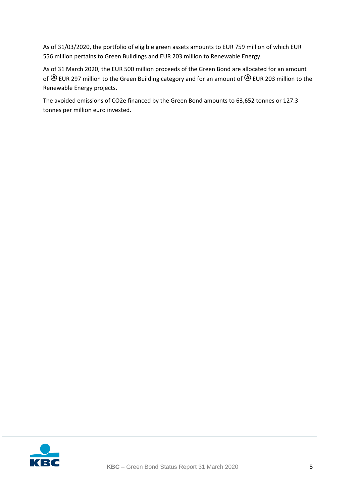As of 31/03/2020, the portfolio of eligible green assets amounts to EUR 759 million of which EUR 556 million pertains to Green Buildings and EUR 203 million to Renewable Energy.

As of 31 March 2020, the EUR 500 million proceeds of the Green Bond are allocated for an amount of  $\bigcirc$  EUR 297 million to the Green Building category and for an amount of  $\bigcirc$  EUR 203 million to the Renewable Energy projects.

The avoided emissions of CO2e financed by the Green Bond amounts to 63,652 tonnes or 127.3 tonnes per million euro invested.

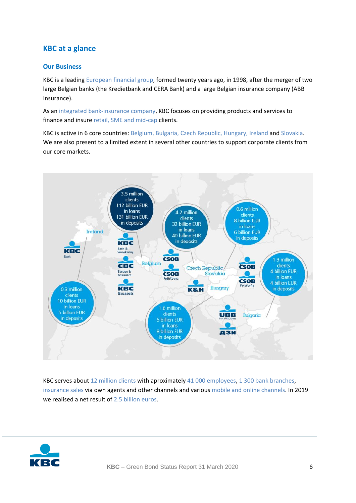## <span id="page-5-0"></span>**KBC at a glance**

## <span id="page-5-1"></span>**Our Business**

KBC is a leading European financial group, formed twenty years ago, in 1998, after the merger of two large Belgian banks (the Kredietbank and CERA Bank) and a large Belgian insurance company (ABB Insurance).

As an integrated bank-insurance company, KBC focuses on providing products and services to finance and insure retail, SME and mid-cap clients.

KBC is active in 6 core countries: Belgium, Bulgaria, Czech Republic, Hungary, Ireland and Slovakia. We are also present to a limited extent in several other countries to support corporate clients from our core markets.



KBC serves about 12 million clients with aproximately 41 000 employees, 1 300 bank branches, insurance sales via own agents and other channels and various mobile and online channels. In 2019 we realised a net result of 2.5 billion euros.

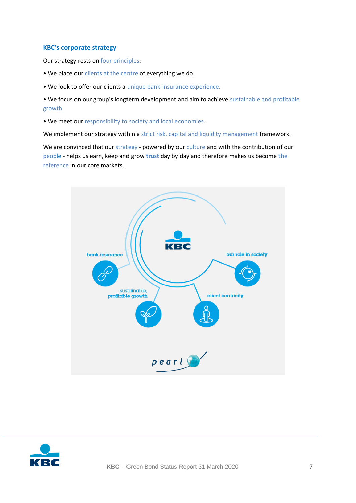## <span id="page-6-0"></span>**KBC's corporate strategy**

Our strategy rests on four principles:

- We place our clients at the centre of everything we do.
- We look to offer our clients a unique bank-insurance experience.
- We focus on our group's longterm development and aim to achieve sustainable and profitable growth.
- We meet our responsibility to society and local economies.

We implement our strategy within a strict risk, capital and liquidity management framework.

We are convinced that our strategy - powered by our culture and with the contribution of our people - helps us earn, keep and grow **trust** day by day and therefore makes us become the reference in our core markets.



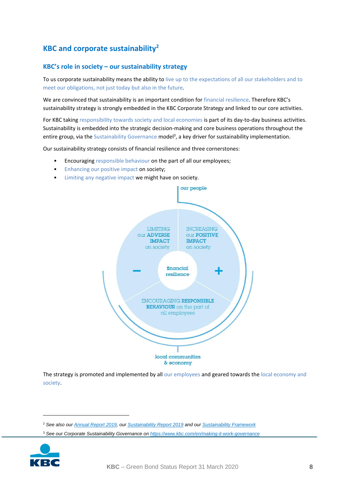## <span id="page-7-0"></span>**KBC and corporate sustainability<sup>2</sup>**

## <span id="page-7-1"></span>**KBC's role in society – our sustainability strategy**

To us corporate sustainability means the ability to live up to the expectations of all our stakeholders and to meet our obligations, not just today but also in the future.

We are convinced that sustainability is an important condition for financial resilience. Therefore KBC's sustainability strategy is strongly embedded in the KBC Corporate Strategy and linked to our core activities.

For KBC taking responsibility towards society and local economies is part of its day-to-day business activities. Sustainability is embedded into the strategic decision-making and core business operations throughout the entire group, via the Sustainability Governance model<sup>3</sup>, a key driver for sustainability implementation.

Our sustainability strategy consists of financial resilience and three cornerstones:

- Encouraging responsible behaviour on the part of all our employees;
- Enhancing our positive impact on society;
- Limiting any negative impact we might have on society.



The strategy is promoted and implemented by all our employees and geared towards the local economy and society.

<sup>3</sup> *See our Corporate Sustainability Governance on <https://www.kbc.com/en/making-it-work-governance>*



<sup>2</sup> *See also our [Annual Report 2019,](https://multimediafiles.kbcgroup.eu/ng/published/kbccom/pdf/kbccom_landing_links/JVS_2019_GRP_en.pdf) ou[r Sustainability Report 2019](https://www.kbc.com/en/system/files/doc/sustainability-reponsability/PerfRep/2019/CSR_SR_2019_en.pdf) and ou[r Sustainability Framework](https://multimediafiles.kbcgroup.eu/ng/published/kbccom/pdf/kbccom_landing_links/CSD_CorporateSustainabilityFramework_en.pdf)*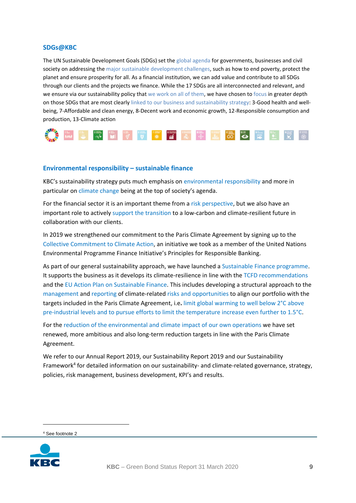### <span id="page-8-0"></span>**SDGs@KBC**

The UN Sustainable Development Goals (SDGs) set the global agenda for governments, businesses and civil society on addressing the major sustainable development challenges, such as how to end poverty, protect the planet and ensure prosperity for all. As a financial institution, we can add value and contribute to all SDGs through our clients and the projects we finance. While the 17 SDGs are all interconnected and relevant, and we ensure via our sustainability policy that we work on all of them, we have chosen to focus in greater depth on those SDGs that are most clearly linked to our business and sustainability strategy: 3-Good health and wellbeing, 7-Affordable and clean energy, 8-Decent work and economic growth, 12-Responsible consumption and production, 13-Climate action



#### <span id="page-8-1"></span>**Environmental responsibility – sustainable finance**

KBC's sustainability strategy puts much emphasis on environmental responsibility and more in particular on climate change being at the top of society's agenda.

For the financial sector it is an important theme from a risk perspective, but we also have an important role to actively support the transition to a low-carbon and climate-resilient future in collaboration with our clients.

In 2019 we strengthened our commitment to the Paris Climate Agreement by signing up to the Collective Commitment to Climate Action, an initiative we took as a member of the United Nations Environmental Programme Finance Initiative's Principles for Responsible Banking.

As part of our general sustainability approach, we have launched a Sustainable Finance programme. It supports the business as it develops its climate-resilience in line with the TCFD recommendations and the EU Action Plan on Sustainable Finance. This includes developing a structural approach to the management and reporting of climate-related risks and opportunities to align our portfolio with the targets included in the Paris Climate Agreement, i.e**.** limit global warming to well below 2°C above pre-industrial levels and to pursue efforts to limit the temperature increase even further to 1.5°C.

For the reduction of the environmental and climate impact of our own operations we have set renewed, more ambitious and also long-term reduction targets in line with the Paris Climate Agreement.

We refer to our Annual Report 2019, our Sustainability Report 2019 and our Sustainability Framework<sup>4</sup> for detailed information on our sustainability- and climate-related governance, strategy, policies, risk management, business development, KPI's and results.

<sup>4</sup> See footnote 2

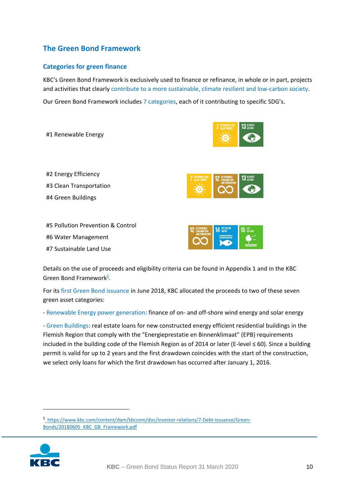## <span id="page-9-0"></span>**The Green Bond Framework**

## <span id="page-9-1"></span>**Categories for green finance**

KBC's Green Bond Framework is exclusively used to finance or refinance, in whole or in part, projects and activities that clearly contribute to a more sustainable, climate resilient and low-carbon society.

Our Green Bond Framework includes 7 categories, each of it contributing to specific SDG's.

| #1 Renewable Energy     |                |
|-------------------------|----------------|
|                         |                |
|                         |                |
|                         |                |
| #2 Energy Efficiency    | AFFORDABLE AND |
| #3 Clean Transportation |                |

#4 Green Buildings

#5 Pollution Prevention & Control #6 Water Management

#7 Sustainable Land Use





Details on the use of proceeds and eligibility criteria can be found in Appendix 1 and in the KBC Green Bond Framework<sup>5</sup>.

For its first Green Bond issuance in June 2018, KBC allocated the proceeds to two of these seven green asset categories:

- Renewable Energy power generation: finance of on- and off-shore wind energy and solar energy

- Green Buildings: real estate loans for new constructed energy efficient residential buildings in the Flemish Region that comply with the "Energieprestatie en Binnenklimaat" (EPB) requirements included in the building code of the Flemish Region as of 2014 or later (E-level ≤ 60). Since a building permit is valid for up to 2 years and the first drawdown coincides with the start of the construction, we select only loans for which the first drawdown has occurred after January 1, 2016.

5 https://www.kbc.com/content/dam/kbccom/doc/investor-relations/7-Debt-issuance/Green-Bonds/20180605\_KBC\_GB\_Framework.pdf

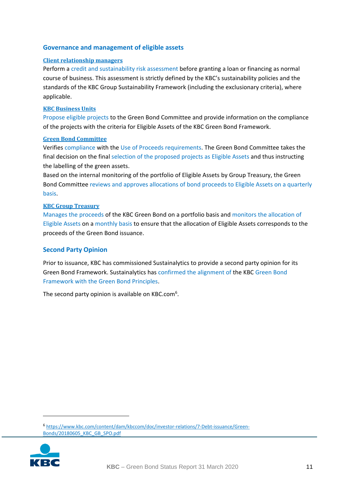## <span id="page-10-0"></span>**Governance and management of eligible assets**

### <span id="page-10-1"></span>**Client relationship managers**

Perform a credit and sustainability risk assessment before granting a loan or financing as normal course of business. This assessment is strictly defined by the KBC's sustainability policies and the standards of the KBC Group Sustainability Framework (including the exclusionary criteria), where applicable.

### <span id="page-10-2"></span>**KBC Business Units**

Propose eligible projects to the Green Bond Committee and provide information on the compliance of the projects with the criteria for Eligible Assets of the KBC Green Bond Framework.

### <span id="page-10-3"></span>**Green Bond Committee**

Verifies compliance with the Use of Proceeds requirements. The Green Bond Committee takes the final decision on the final selection of the proposed projects as Eligible Assets and thus instructing the labelling of the green assets.

Based on the internal monitoring of the portfolio of Eligible Assets by Group Treasury, the Green Bond Committee reviews and approves allocations of bond proceeds to Eligible Assets on a quarterly basis.

### <span id="page-10-4"></span>**KBC Group Treasury**

Manages the proceeds of the KBC Green Bond on a portfolio basis and monitors the allocation of Eligible Assets on a monthly basis to ensure that the allocation of Eligible Assets corresponds to the proceeds of the Green Bond issuance.

### <span id="page-10-5"></span>**Second Party Opinion**

Prior to issuance, KBC has commissioned Sustainalytics to provide a second party opinion for its Green Bond Framework. Sustainalytics has confirmed the alignment of the KBC Green Bond Framework with the Green Bond Principles.

The second party opinion is available on KBC.com $6$ .

<sup>6</sup> [https://www.kbc.com/content/dam/kbccom/doc/investor-relations/7-Debt-issuance/Green-](https://www.kbc.com/content/dam/kbccom/doc/investor-relations/7-Debt-issuance/Green-Bonds/20180605_KBC_GB_SPO.pdf)[Bonds/20180605\\_KBC\\_GB\\_SPO.pdf](https://www.kbc.com/content/dam/kbccom/doc/investor-relations/7-Debt-issuance/Green-Bonds/20180605_KBC_GB_SPO.pdf)

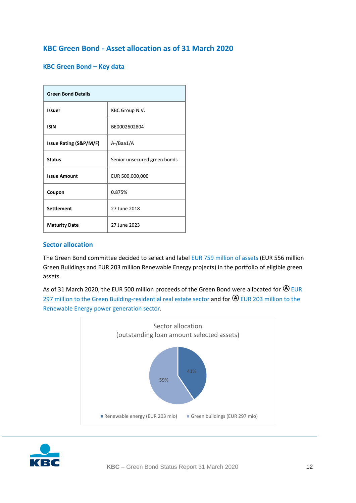## <span id="page-11-0"></span>**KBC Green Bond - Asset allocation as of 31 March 2020**

## <span id="page-11-1"></span>**KBC Green Bond – Key data**

| <b>Green Bond Details</b>         |                              |  |
|-----------------------------------|------------------------------|--|
| <b>Issuer</b>                     | KBC Group N.V.               |  |
| <b>ISIN</b>                       | BE0002602804                 |  |
| <b>Issue Rating (S&amp;P/M/F)</b> | A-/Baa1/A                    |  |
| <b>Status</b>                     | Senior unsecured green bonds |  |
| <b>Issue Amount</b>               | EUR 500,000,000              |  |
| Coupon                            | 0.875%                       |  |
| <b>Settlement</b>                 | 27 June 2018                 |  |
| <b>Maturity Date</b>              | 27 June 2023                 |  |

### <span id="page-11-2"></span>**Sector allocation**

The Green Bond committee decided to select and label EUR 759 million of assets (EUR 556 million Green Buildings and EUR 203 million Renewable Energy projects) in the portfolio of eligible green assets.

As of 31 March 2020, the EUR 500 million proceeds of the Green Bond were allocated for  $\bigcirc$  EUR 297 million to the Green Building-residential real estate sector and for  $\bigcirc$  EUR 203 million to the Renewable Energy power generation sector.



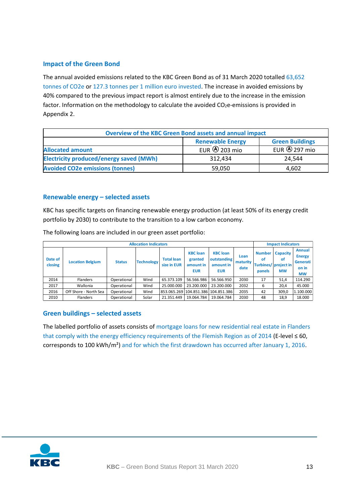## <span id="page-12-0"></span>**Impact of the Green Bond**

The annual avoided emissions related to the KBC Green Bond as of 31 March 2020 totalled 63,652 tonnes of CO2e or 127.3 tonnes per 1 million euro invested. The increase in avoided emissions by 40% compared to the previous impact report is almost entirely due to the increase in the emission factor. Information on the methodology to calculate the avoided  $CO<sub>2</sub>e$ -emissions is provided in Appendix 2.

| <b>Overview of the KBC Green Bond assets and annual impact</b> |                         |                        |  |  |
|----------------------------------------------------------------|-------------------------|------------------------|--|--|
|                                                                | <b>Renewable Energy</b> | <b>Green Buildings</b> |  |  |
| <b>Allocated amount</b>                                        | EUR $\bigcirc$ 203 mio  | EUR $\bigcirc$ 297 mio |  |  |
| <b>Electricity produced/energy saved (MWh)</b>                 | 312,434                 | 24.544                 |  |  |
| <b>Avoided CO2e emissions (tonnes)</b>                         | 59,050                  | 4,602                  |  |  |

## <span id="page-12-1"></span>**Renewable energy – selected assets**

KBC has specific targets on financing renewable energy production (at least 50% of its energy credit portfolio by 2030) to contribute to the transition to a low carbon economy.

| <b>Allocation Indicators</b> |                         |               |                   |                                  | <b>Impact Indicators</b>                              |                                                           |                          |                               |                                                            |                                                                  |
|------------------------------|-------------------------|---------------|-------------------|----------------------------------|-------------------------------------------------------|-----------------------------------------------------------|--------------------------|-------------------------------|------------------------------------------------------------|------------------------------------------------------------------|
| Date of<br>closing           | <b>Location Belgium</b> | <b>Status</b> | <b>Technology</b> | <b>Total loan</b><br>size in EUR | <b>KBC</b> loan<br>granted<br>amount in<br><b>EUR</b> | <b>KBC</b> loan<br>outstanding<br>amount in<br><b>EUR</b> | Loan<br>maturity<br>date | <b>Number</b><br>οf<br>panels | <b>Capacity</b><br>οf<br>Turbines/ project in<br><b>MW</b> | <b>Annual</b><br><b>Energy</b><br>Generati<br>on in<br><b>MW</b> |
| 2014                         | <b>Flanders</b>         | Operational   | Wind              | 65.373.109                       | 56.566.986                                            | 56.566.950                                                | 2030                     | 17                            | 51,4                                                       | 114.290                                                          |
| 2017                         | Wallonia                | Operational   | Wind              | 25.000.000                       | 23.200.000                                            | 23.200.000                                                | 2032                     | 6                             | 20,4                                                       | 45.000                                                           |
| 2016                         | Off Shore - North Sea   | Operational   | Wind              |                                  |                                                       | 853.065.269 104.851.386 104.851.386                       | 2035                     | 42                            | 309,0                                                      | 1.100.000                                                        |
| 2010                         | <b>Flanders</b>         | Operational   | Solar             | 21.351.449                       | 19.064.784                                            | 19.064.784                                                | 2030                     | 48                            | 18.9                                                       | 18.000                                                           |

The following loans are included in our green asset portfolio:

## <span id="page-12-2"></span>**Green buildings – selected assets**

The labelled portfolio of assets consists of mortgage loans for new residential real estate in Flanders that comply with the energy efficiency requirements of the Flemish Region as of 2014 (E-level ≤ 60, corresponds to 100 kWh/m²) and for which the first drawdown has occurred after January 1, 2016.

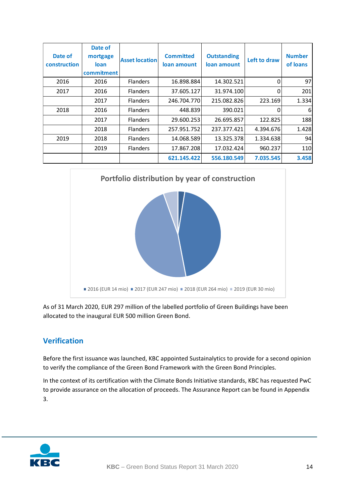| Date of<br>construction | Date of<br>mortgage<br>loan<br>commitment | <b>Asset location</b> | <b>Committed</b><br>loan amount | <b>Outstanding</b><br>loan amount | Left to draw | <b>Number</b><br>of loans |
|-------------------------|-------------------------------------------|-----------------------|---------------------------------|-----------------------------------|--------------|---------------------------|
| 2016                    | 2016                                      | <b>Flanders</b>       | 16.898.884                      | 14.302.521                        | $\Omega$     | 97                        |
| 2017                    | 2016                                      | <b>Flanders</b>       | 37.605.127                      | 31.974.100                        | 0            | 201                       |
|                         | 2017                                      | <b>Flanders</b>       | 246.704.770                     | 215.082.826                       | 223.169      | 1.334                     |
| 2018                    | 2016                                      | <b>Flanders</b>       | 448.839                         | 390.021                           | 0            | 6                         |
|                         | 2017                                      | <b>Flanders</b>       | 29.600.253                      | 26.695.857                        | 122.825      | 188                       |
|                         | 2018                                      | <b>Flanders</b>       | 257.951.752                     | 237.377.421                       | 4.394.676    | 1.428                     |
| 2019                    | 2018                                      | <b>Flanders</b>       | 14.068.589                      | 13.325.378                        | 1.334.638    | 94                        |
|                         | 2019                                      | <b>Flanders</b>       | 17.867.208                      | 17.032.424                        | 960.237      | 110                       |
|                         |                                           |                       | 621.145.422                     | 556.180.549                       | 7.035.545    | 3.458                     |



As of 31 March 2020, EUR 297 million of the labelled portfolio of Green Buildings have been allocated to the inaugural EUR 500 million Green Bond.

## <span id="page-13-0"></span>**Verification**

Before the first issuance was launched, KBC appointed Sustainalytics to provide for a second opinion to verify the compliance of the Green Bond Framework with the Green Bond Principles.

In the context of its certification with the Climate Bonds Initiative standards, KBC has requested PwC to provide assurance on the allocation of proceeds. The Assurance Report can be found in Appendix 3.

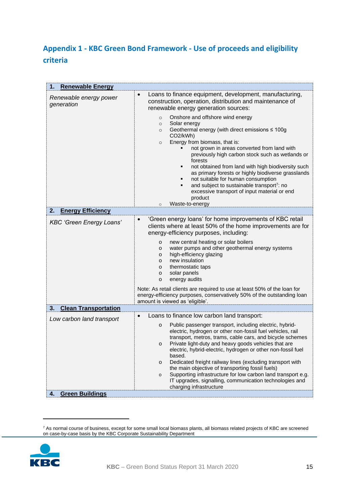## <span id="page-14-0"></span>**Appendix 1 - KBC Green Bond Framework - Use of proceeds and eligibility criteria**

| <b>Renewable Energy</b><br>1.        |                                                                                                                                                                                                                                                                                                                                                                                                                                                                                                                                                                                                                                                                                                                                                                   |
|--------------------------------------|-------------------------------------------------------------------------------------------------------------------------------------------------------------------------------------------------------------------------------------------------------------------------------------------------------------------------------------------------------------------------------------------------------------------------------------------------------------------------------------------------------------------------------------------------------------------------------------------------------------------------------------------------------------------------------------------------------------------------------------------------------------------|
| Renewable energy power<br>generation | Loans to finance equipment, development, manufacturing,<br>$\bullet$<br>construction, operation, distribution and maintenance of<br>renewable energy generation sources:<br>Onshore and offshore wind energy<br>$\circ$<br>Solar energy<br>$\circ$<br>Geothermal energy (with direct emissions ≤ 100g<br>$\circ$<br>CO2/kWh)<br>Energy from biomass, that is:<br>$\circ$<br>not grown in areas converted from land with<br>previously high carbon stock such as wetlands or<br>forests<br>not obtained from land with high biodiversity such<br>٠<br>as primary forests or highly biodiverse grasslands<br>not suitable for human consumption<br>٠<br>and subject to sustainable transport <sup>7</sup> : no<br>٠<br>excessive transport of input material or end |
|                                      | product<br>Waste-to-energy<br>$\circ$                                                                                                                                                                                                                                                                                                                                                                                                                                                                                                                                                                                                                                                                                                                             |
| <b>Energy Efficiency</b><br>2.       |                                                                                                                                                                                                                                                                                                                                                                                                                                                                                                                                                                                                                                                                                                                                                                   |
| <b>KBC 'Green Energy Loans'</b>      | 'Green energy loans' for home improvements of KBC retail<br>$\bullet$<br>clients where at least 50% of the home improvements are for<br>energy-efficiency purposes, including:<br>new central heating or solar boilers<br>o<br>water pumps and other geothermal energy systems<br>o<br>high-efficiency glazing<br>0<br>new insulation<br>0<br>thermostatic taps<br>о<br>solar panels<br>о<br>energy audits<br>о<br>Note: As retail clients are required to use at least 50% of the loan for<br>energy-efficiency purposes, conservatively 50% of the outstanding loan<br>amount is viewed as 'eligible'.                                                                                                                                                          |
| <b>Clean Transportation</b><br>3.    |                                                                                                                                                                                                                                                                                                                                                                                                                                                                                                                                                                                                                                                                                                                                                                   |
| Low carbon land transport            | Loans to finance low carbon land transport:<br>$\bullet$<br>Public passenger transport, including electric, hybrid-<br>о<br>electric, hydrogen or other non-fossil fuel vehicles, rail<br>transport, metros, trams, cable cars, and bicycle schemes<br>Private light-duty and heavy goods vehicles that are<br>о<br>electric, hybrid-electric, hydrogen or other non-fossil fuel<br>based.<br>Dedicated freight railway lines (excluding transport with<br>o<br>the main objective of transporting fossil fuels)<br>Supporting infrastructure for low carbon land transport e.g.<br>$\mathsf{o}\,$<br>IT upgrades, signalling, communication technologies and<br>charging infrastructure                                                                          |
| <b>Green Buildings</b><br>4.         |                                                                                                                                                                                                                                                                                                                                                                                                                                                                                                                                                                                                                                                                                                                                                                   |

 $^7$  As normal course of business, except for some small local biomass plants, all biomass related projects of KBC are screened on case-by-case basis by the KBC Corporate Sustainability Department

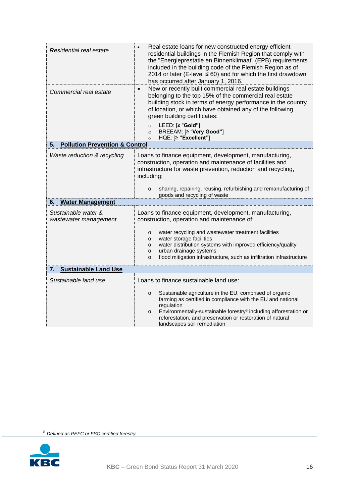| Residential real estate                         | Real estate loans for new constructed energy efficient<br>residential buildings in the Flemish Region that comply with<br>the "Energieprestatie en Binnenklimaat" (EPB) requirements<br>included in the building code of the Flemish Region as of<br>2014 or later (E-level $\leq 60$ ) and for which the first drawdown<br>has occurred after January 1, 2016. |  |  |  |
|-------------------------------------------------|-----------------------------------------------------------------------------------------------------------------------------------------------------------------------------------------------------------------------------------------------------------------------------------------------------------------------------------------------------------------|--|--|--|
| Commercial real estate                          | New or recently built commercial real estate buildings<br>$\bullet$<br>belonging to the top 15% of the commercial real estate<br>building stock in terms of energy performance in the country<br>of location, or which have obtained any of the following<br>green building certificates:                                                                       |  |  |  |
|                                                 | LEED: [≥ "Gold"]<br>$\circ$<br>BREEAM: [≥ "Very Good"]<br>$\circ$<br>HQE: [≥ "Excellent"]<br>$\circ$                                                                                                                                                                                                                                                            |  |  |  |
| <b>Pollution Prevention &amp; Control</b><br>5. |                                                                                                                                                                                                                                                                                                                                                                 |  |  |  |
| Waste reduction & recycling                     | Loans to finance equipment, development, manufacturing,<br>construction, operation and maintenance of facilities and<br>infrastructure for waste prevention, reduction and recycling,<br>including:                                                                                                                                                             |  |  |  |
|                                                 | sharing, repairing, reusing, refurbishing and remanufacturing of<br>o<br>goods and recycling of waste                                                                                                                                                                                                                                                           |  |  |  |
| <b>Water Management</b><br>6.                   |                                                                                                                                                                                                                                                                                                                                                                 |  |  |  |
| Sustainable water &<br>wastewater management    | Loans to finance equipment, development, manufacturing,<br>construction, operation and maintenance of:                                                                                                                                                                                                                                                          |  |  |  |
|                                                 | water recycling and wastewater treatment facilities<br>0<br>water storage facilities<br>o<br>water distribution systems with improved efficiency/quality<br>o<br>urban drainage systems<br>o<br>flood mitigation infrastructure, such as infiltration infrastructure<br>o                                                                                       |  |  |  |
| <b>Sustainable Land Use</b><br>7.               |                                                                                                                                                                                                                                                                                                                                                                 |  |  |  |
| Sustainable land use                            | Loans to finance sustainable land use:                                                                                                                                                                                                                                                                                                                          |  |  |  |
|                                                 | Sustainable agriculture in the EU, comprised of organic<br>o<br>farming as certified in compliance with the EU and national<br>regulation                                                                                                                                                                                                                       |  |  |  |
|                                                 | Environmentally-sustainable forestry <sup>8</sup> including afforestation or<br>o<br>reforestation, and preservation or restoration of natural<br>landscapes soil remediation                                                                                                                                                                                   |  |  |  |

*<sup>8</sup> Defined as PEFC or FSC certified forestry*

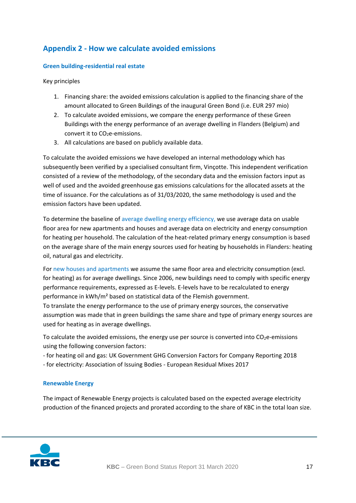## <span id="page-16-0"></span>**Appendix 2 - How we calculate avoided emissions**

### **Green building-residential real estate**

Key principles

- 1. Financing share: the avoided emissions calculation is applied to the financing share of the amount allocated to Green Buildings of the inaugural Green Bond (i.e. EUR 297 mio)
- 2. To calculate avoided emissions, we compare the energy performance of these Green Buildings with the energy performance of an average dwelling in Flanders (Belgium) and convert it to CO<sub>2</sub>e-emissions.
- 3. All calculations are based on publicly available data.

To calculate the avoided emissions we have developed an internal methodology which has subsequently been verified by a specialised consultant firm, Vinçotte. This independent verification consisted of a review of the methodology, of the secondary data and the emission factors input as well of used and the avoided greenhouse gas emissions calculations for the allocated assets at the time of issuance. For the calculations as of 31/03/2020, the same methodology is used and the emission factors have been updated.

To determine the baseline of average dwelling energy efficiency, we use average data on usable floor area for new apartments and houses and average data on electricity and energy consumption for heating per household. The calculation of the heat-related primary energy consumption is based on the average share of the main energy sources used for heating by households in Flanders: heating oil, natural gas and electricity.

For new houses and apartments we assume the same floor area and electricity consumption (excl. for heating) as for average dwellings. Since 2006, new buildings need to comply with specific energy performance requirements, expressed as E-levels. E-levels have to be recalculated to energy performance in kWh/m² based on statistical data of the Flemish government. To translate the energy performance to the use of primary energy sources, the conservative assumption was made that in green buildings the same share and type of primary energy sources are used for heating as in average dwellings.

To calculate the avoided emissions, the energy use per source is converted into  $CO<sub>2</sub>e$ -emissions using the following conversion factors:

- for heating oil and gas: UK Government GHG Conversion Factors for Company Reporting 2018

- for electricity: Association of Issuing Bodies - European Residual Mixes 2017

## **Renewable Energy**

The impact of Renewable Energy projects is calculated based on the expected average electricity production of the financed projects and prorated according to the share of KBC in the total loan size.

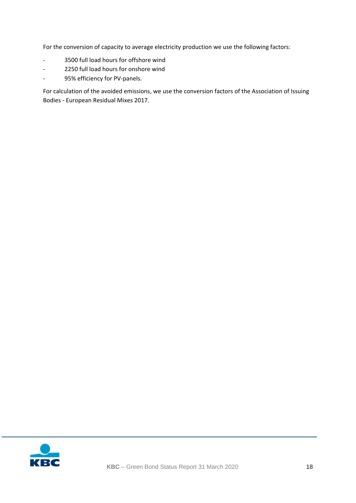For the conversion of capacity to average electricity production we use the following factors:

- 3500 full load hours for offshore wind
- 2250 full load hours for onshore wind
- 95% efficiency for PV-panels.

For calculation of the avoided emissions, we use the conversion factors of the Association of Issuing Bodies - European Residual Mixes 2017.

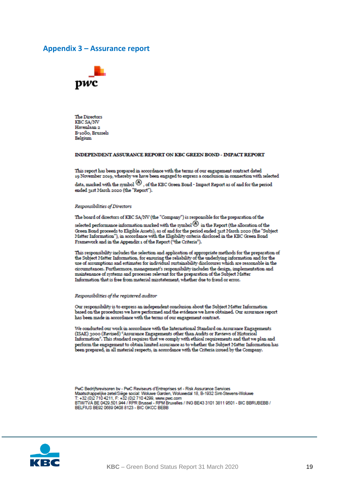## <span id="page-18-0"></span>**Appendix 3 - Assurance report**



**The Directors** KBC SA/NV Havenlaan 2 B-1080, Brussels Belgium

#### INDEPENDENT ASSURANCE REPORT ON KBC GREEN BOND - IMPACT REPORT

This report has been prepared in accordance with the terms of our engagement contract dated 19 November 2019, whereby we have been engaged to express a conclusion in connection with selected

data, marked with the symbol  $\bigcircled{0}$  , of the KBC Green Bond - Impact Report as of and for the period ended 31st March 2020 (the "Report").

#### Responsibilities of Directors

#### The board of directors of KBC SA/NV (the "Company") is responsible for the preparation of the

selected performance information marked with the symbol  $\circledA$  in the Report (the allocation of the Green Bond proceeds to Eligible Assets), as of and for the period ended 31st March 2020 (the "Subject Matter Information"), in accordance with the Eligibility criteria disclosed in the KBC Green Bond Framework and in the Appendix 1 of the Report ("the Criteria").

This responsibility includes the selection and application of appropriate methods for the preparation of<br>the Subject Matter Information, for ensuring the reliability of the underlying information and for the use of assumptions and estimates for individual sustainability disclosures which are reasonable in the circumstances. Furthermore, management's responsibility includes the design, implementation and maintenance of systems and processes relevant for the preparation of the Subject Matter Information that is free from material misstatement, whether due to fraud or error.

#### Responsibilities of the registered auditor

Our responsibility is to express an independent conclusion about the Subject Matter Information based on the procedures we have performed and the evidence we have obtained. Our assurance report has been made in accordance with the terms of our engagement contract.

We conducted our work in accordance with the International Standard on Assurance Engagements (ISAE) 3000 (Revised) "Assurance Engagements other than Audits or Reviews of Historical Information". This standard requires that we comply with ethical requirements and that we plan and perform the engagement to obtain limited assurance as to whether the Subject Matter Information has been prepared, in all material respects, in accordance with the Criteria issued by the Company.

PwC Bedrijfsrevisoren bv - PwC Reviseurs d'Entreprises srl - Risk Assurance Services Maatschappelijke zetel/Siège social: Woluwe Garden, Woluwedal 18, B-1932 Sint-Stevens-Woluwe<br>T: +32 (0)2 710 4211, F: +32 (0)2 710 4299, www.pwc.com<br>BTW/TVA BE 0429.501.944 / RPR Brussel - RPM Bruxelles / ING BE43 3101 381 BELFIUS BE92 0689 0408 8123 - BIC GKCC BEBB

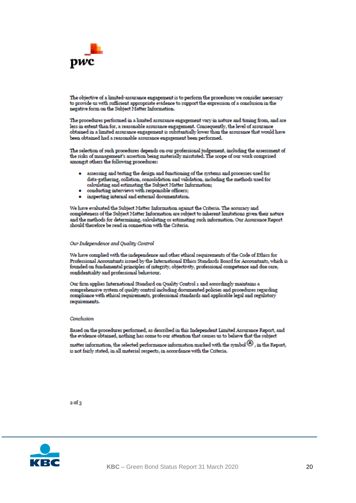

The objective of a limited-assurance engagement is to perform the procedures we consider necessary to provide us with sufficient appropriate evidence to support the expression of a conclusion in the negative form on the Subject Matter Information.

The procedures performed in a limited assurance engagement vary in nature and timing from, and are less in extent than for, a reasonable assurance engagement. Consequently, the level of assurance obtained in a limited assurance engagement is substantially lower than the assurance that would have been obtained had a reasonable assurance engagement been performed.

The selection of such procedures depends on our professional judgement, including the assessment of the risks of management's assertion being materially misstated. The scope of our work comprised amongst others the following procedures:

- assessing and testing the design and functioning of the systems and processes used for data-gathering, collation, consolidation and validation, including the methods used for calculating and estimating the Subject Matter Information;
- conducting interviews with responsible officers;
- · inspecting internal and external documentation.

We have evaluated the Subject Matter Information against the Criteria. The accuracy and completeness of the Subject Matter Information are subject to inherent limitations given their nature and the methods for determining, calculating or estimating such information. Our Assurance Report should therefore be read in connection with the Criteria.

#### Our Independence and Quality Control

We have complied with the independence and other ethical requirements of the Code of Ethics for Professional Accountants issued by the International Ethics Standards Board for Accountants, which is founded on fundamental principles of integrity, objectivity, professional competence and due care, confidentiality and professional behaviour.

Our firm applies International Standard on Quality Control 1 and accordingly maintains a comprehensive system of quality control including documented policies and procedures regarding compliance with ethical requirements, professional standards and applicable legal and regulatory requirements.

#### Conclusion

Based on the procedures performed, as described in this Independent Limited Assurance Report, and the evidence obtained, nothing has come to our attention that causes us to believe that the subject

matter information, the selected performance information marked with the symbol  $\left(\Theta\right)$ , in the Report, is not fairly stated, in all material respects, in accordance with the Criteria.

#### $2$  of  $3$